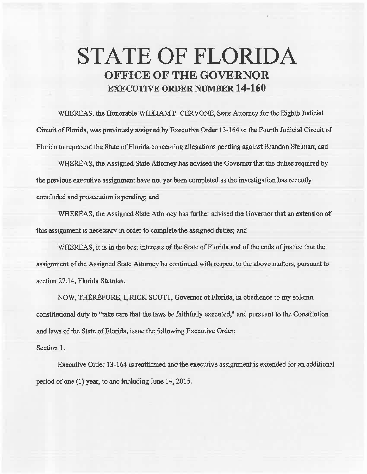## **STATE OF FLORIDA OFFICE OF THE GOVERNOR EXECUTIVE ORDER NUMBER 14-160**

WHEREAS, the Honorable WILLIAM P. CERVONE, State Attorney for the Eighth. Judicial Circuit of Florida, was previously assigned by Executive Order 13-164 to the Fourth Judicial Circuit of Florida to represent the State of Florida concerning allegations pending against Brandon Sleiman; and

WHEREAS, the Assigned State Attorney has advised the Governor that the duties required by the previous executive assignment have not yet been completed as the investigation has recently concluded and prosecution is pending; and

WHEREAS, the Assigned State Attorney has further advised the Governor that an extension of this assignment is necessary in order to complete the assigned duties; and

WHEREAS, it is in the best interests of the State of Florida and of the ends of justice that the assignment of the Assigned State Attorney be continued with respect to the above matters, pursuant to section 27.14, Florida Statutes.

NOW, THEREFORE, I, RICK SCOTI, Governor of Florida, in obedience to my solemn constitutional duty to "take care that the laws be faithfully executed," and pursuant to the Constitution and laws of the State of Florida, issue the following Executive Order:

## Section 1.

Executive Order 13-164 is reaffirmed and the executive assignment is extended for an additional period of one (1) year, to and including June 14, 2015.